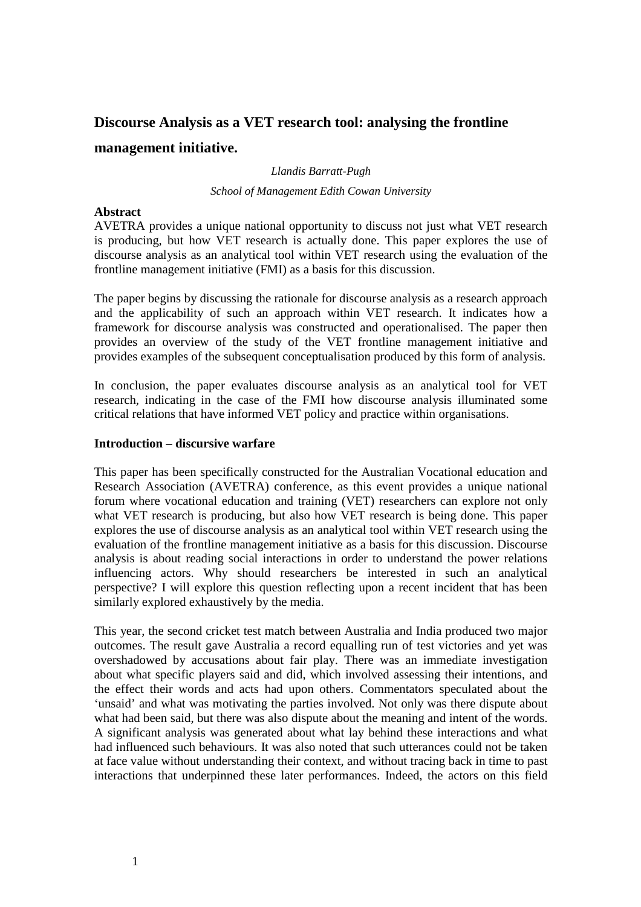# **Discourse Analysis as a VET research tool: analysing the frontline management initiative.**

## *Llandis Barratt-Pugh School of Management Edith Cowan University*

#### **Abstract**

AVETRA provides a unique national opportunity to discuss not just what VET research is producing, but how VET research is actually done. This paper explores the use of discourse analysis as an analytical tool within VET research using the evaluation of the frontline management initiative (FMI) as a basis for this discussion.

The paper begins by discussing the rationale for discourse analysis as a research approach and the applicability of such an approach within VET research. It indicates how a framework for discourse analysis was constructed and operationalised. The paper then provides an overview of the study of the VET frontline management initiative and provides examples of the subsequent conceptualisation produced by this form of analysis.

In conclusion, the paper evaluates discourse analysis as an analytical tool for VET research, indicating in the case of the FMI how discourse analysis illuminated some critical relations that have informed VET policy and practice within organisations.

### **Introduction – discursive warfare**

This paper has been specifically constructed for the Australian Vocational education and Research Association (AVETRA) conference, as this event provides a unique national forum where vocational education and training (VET) researchers can explore not only what VET research is producing, but also how VET research is being done. This paper explores the use of discourse analysis as an analytical tool within VET research using the evaluation of the frontline management initiative as a basis for this discussion. Discourse analysis is about reading social interactions in order to understand the power relations influencing actors. Why should researchers be interested in such an analytical perspective? I will explore this question reflecting upon a recent incident that has been similarly explored exhaustively by the media.

This year, the second cricket test match between Australia and India produced two major outcomes. The result gave Australia a record equalling run of test victories and yet was overshadowed by accusations about fair play. There was an immediate investigation about what specific players said and did, which involved assessing their intentions, and the effect their words and acts had upon others. Commentators speculated about the 'unsaid' and what was motivating the parties involved. Not only was there dispute about what had been said, but there was also dispute about the meaning and intent of the words. A significant analysis was generated about what lay behind these interactions and what had influenced such behaviours. It was also noted that such utterances could not be taken at face value without understanding their context, and without tracing back in time to past interactions that underpinned these later performances. Indeed, the actors on this field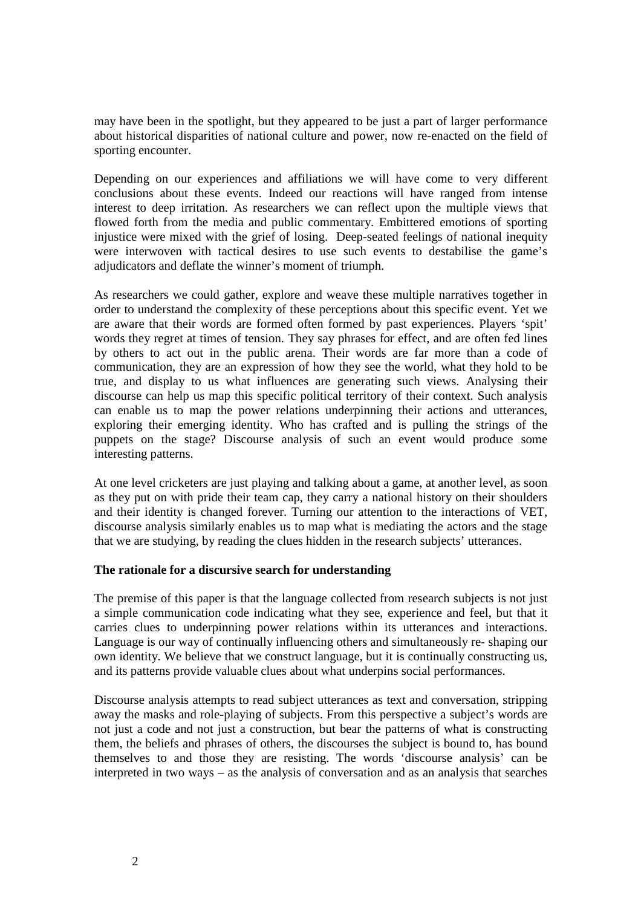may have been in the spotlight, but they appeared to be just a part of larger performance about historical disparities of national culture and power, now re-enacted on the field of sporting encounter.

Depending on our experiences and affiliations we will have come to very different conclusions about these events. Indeed our reactions will have ranged from intense interest to deep irritation. As researchers we can reflect upon the multiple views that flowed forth from the media and public commentary. Embittered emotions of sporting injustice were mixed with the grief of losing. Deep-seated feelings of national inequity were interwoven with tactical desires to use such events to destabilise the game's adjudicators and deflate the winner's moment of triumph.

As researchers we could gather, explore and weave these multiple narratives together in order to understand the complexity of these perceptions about this specific event. Yet we are aware that their words are formed often formed by past experiences. Players 'spit' words they regret at times of tension. They say phrases for effect, and are often fed lines by others to act out in the public arena. Their words are far more than a code of communication, they are an expression of how they see the world, what they hold to be true, and display to us what influences are generating such views. Analysing their discourse can help us map this specific political territory of their context. Such analysis can enable us to map the power relations underpinning their actions and utterances, exploring their emerging identity. Who has crafted and is pulling the strings of the puppets on the stage? Discourse analysis of such an event would produce some interesting patterns.

At one level cricketers are just playing and talking about a game, at another level, as soon as they put on with pride their team cap, they carry a national history on their shoulders and their identity is changed forever. Turning our attention to the interactions of VET, discourse analysis similarly enables us to map what is mediating the actors and the stage that we are studying, by reading the clues hidden in the research subjects' utterances.

### **The rationale for a discursive search for understanding**

The premise of this paper is that the language collected from research subjects is not just a simple communication code indicating what they see, experience and feel, but that it carries clues to underpinning power relations within its utterances and interactions. Language is our way of continually influencing others and simultaneously re- shaping our own identity. We believe that we construct language, but it is continually constructing us, and its patterns provide valuable clues about what underpins social performances.

Discourse analysis attempts to read subject utterances as text and conversation, stripping away the masks and role-playing of subjects. From this perspective a subject's words are not just a code and not just a construction, but bear the patterns of what is constructing them, the beliefs and phrases of others, the discourses the subject is bound to, has bound themselves to and those they are resisting. The words 'discourse analysis' can be interpreted in two ways – as the analysis of conversation and as an analysis that searches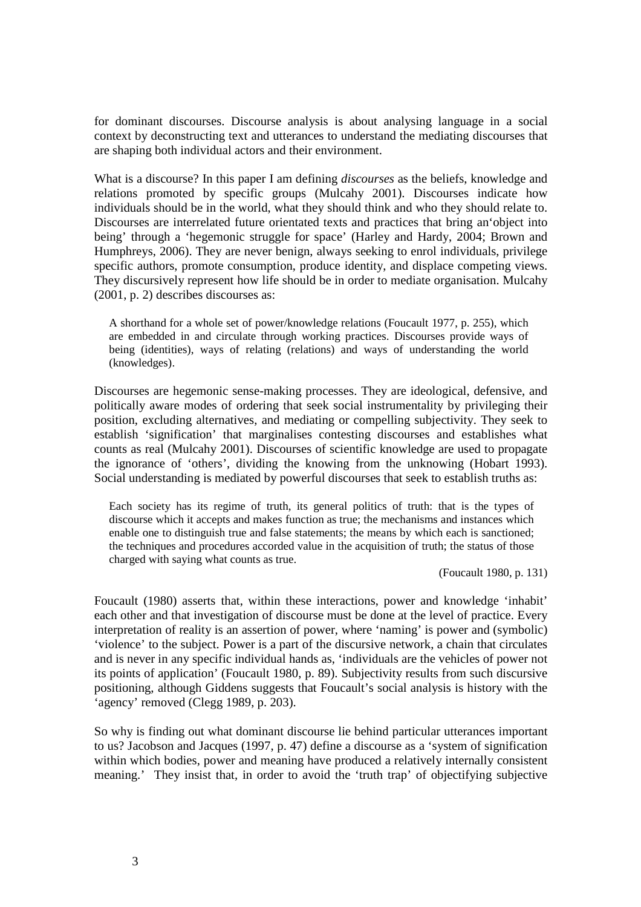for dominant discourses. Discourse analysis is about analysing language in a social context by deconstructing text and utterances to understand the mediating discourses that are shaping both individual actors and their environment.

What is a discourse? In this paper I am defining *discourses* as the beliefs, knowledge and relations promoted by specific groups (Mulcahy 2001). Discourses indicate how individuals should be in the world, what they should think and who they should relate to. Discourses are interrelated future orientated texts and practices that bring an'object into being' through a 'hegemonic struggle for space' (Harley and Hardy, 2004; Brown and Humphreys, 2006). They are never benign, always seeking to enrol individuals, privilege specific authors, promote consumption, produce identity, and displace competing views. They discursively represent how life should be in order to mediate organisation. Mulcahy (2001, p. 2) describes discourses as:

A shorthand for a whole set of power/knowledge relations (Foucault 1977, p. 255), which are embedded in and circulate through working practices. Discourses provide ways of being (identities), ways of relating (relations) and ways of understanding the world (knowledges).

Discourses are hegemonic sense-making processes. They are ideological, defensive, and politically aware modes of ordering that seek social instrumentality by privileging their position, excluding alternatives, and mediating or compelling subjectivity. They seek to establish 'signification' that marginalises contesting discourses and establishes what counts as real (Mulcahy 2001). Discourses of scientific knowledge are used to propagate the ignorance of 'others', dividing the knowing from the unknowing (Hobart 1993). Social understanding is mediated by powerful discourses that seek to establish truths as:

Each society has its regime of truth, its general politics of truth: that is the types of discourse which it accepts and makes function as true; the mechanisms and instances which enable one to distinguish true and false statements; the means by which each is sanctioned; the techniques and procedures accorded value in the acquisition of truth; the status of those charged with saying what counts as true.

(Foucault 1980, p. 131)

Foucault (1980) asserts that, within these interactions, power and knowledge 'inhabit' each other and that investigation of discourse must be done at the level of practice. Every interpretation of reality is an assertion of power, where 'naming' is power and (symbolic) 'violence' to the subject. Power is a part of the discursive network, a chain that circulates and is never in any specific individual hands as, 'individuals are the vehicles of power not its points of application' (Foucault 1980, p. 89). Subjectivity results from such discursive positioning, although Giddens suggests that Foucault's social analysis is history with the 'agency' removed (Clegg 1989, p. 203).

So why is finding out what dominant discourse lie behind particular utterances important to us? Jacobson and Jacques (1997, p. 47) define a discourse as a 'system of signification within which bodies, power and meaning have produced a relatively internally consistent meaning.' They insist that, in order to avoid the 'truth trap' of objectifying subjective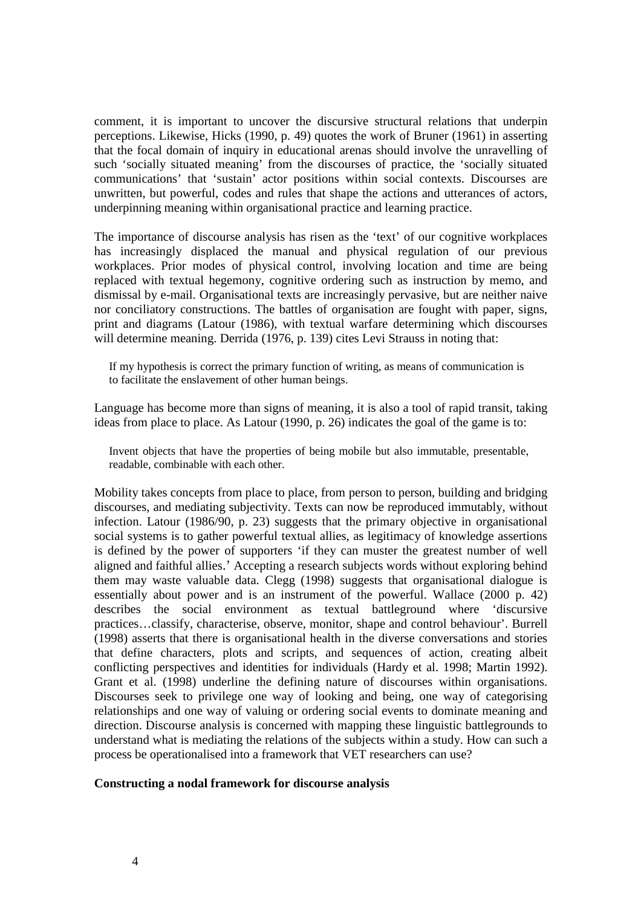comment, it is important to uncover the discursive structural relations that underpin perceptions. Likewise, Hicks (1990, p. 49) quotes the work of Bruner (1961) in asserting that the focal domain of inquiry in educational arenas should involve the unravelling of such 'socially situated meaning' from the discourses of practice, the 'socially situated communications' that 'sustain' actor positions within social contexts. Discourses are unwritten, but powerful, codes and rules that shape the actions and utterances of actors, underpinning meaning within organisational practice and learning practice.

The importance of discourse analysis has risen as the 'text' of our cognitive workplaces has increasingly displaced the manual and physical regulation of our previous workplaces. Prior modes of physical control, involving location and time are being replaced with textual hegemony, cognitive ordering such as instruction by memo, and dismissal by e-mail. Organisational texts are increasingly pervasive, but are neither naive nor conciliatory constructions. The battles of organisation are fought with paper, signs, print and diagrams (Latour (1986), with textual warfare determining which discourses will determine meaning. Derrida (1976, p. 139) cites Levi Strauss in noting that:

If my hypothesis is correct the primary function of writing, as means of communication is to facilitate the enslavement of other human beings.

Language has become more than signs of meaning, it is also a tool of rapid transit, taking ideas from place to place. As Latour (1990, p. 26) indicates the goal of the game is to:

Invent objects that have the properties of being mobile but also immutable, presentable, readable, combinable with each other.

Mobility takes concepts from place to place, from person to person, building and bridging discourses, and mediating subjectivity. Texts can now be reproduced immutably, without infection. Latour (1986/90, p. 23) suggests that the primary objective in organisational social systems is to gather powerful textual allies, as legitimacy of knowledge assertions is defined by the power of supporters 'if they can muster the greatest number of well aligned and faithful allies.' Accepting a research subjects words without exploring behind them may waste valuable data. Clegg (1998) suggests that organisational dialogue is essentially about power and is an instrument of the powerful. Wallace (2000 p. 42) describes the social environment as textual battleground where 'discursive practices…classify, characterise, observe, monitor, shape and control behaviour'. Burrell (1998) asserts that there is organisational health in the diverse conversations and stories that define characters, plots and scripts, and sequences of action, creating albeit conflicting perspectives and identities for individuals (Hardy et al. 1998; Martin 1992). Grant et al. (1998) underline the defining nature of discourses within organisations. Discourses seek to privilege one way of looking and being, one way of categorising relationships and one way of valuing or ordering social events to dominate meaning and direction. Discourse analysis is concerned with mapping these linguistic battlegrounds to understand what is mediating the relations of the subjects within a study. How can such a process be operationalised into a framework that VET researchers can use?

#### **Constructing a nodal framework for discourse analysis**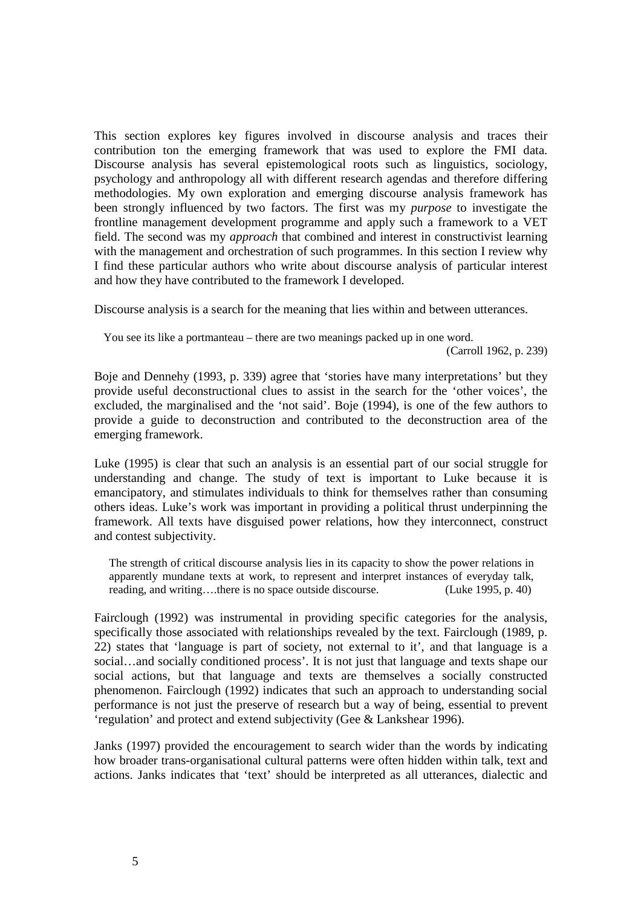This section explores key figures involved in discourse analysis and traces their contribution ton the emerging framework that was used to explore the FMI data. Discourse analysis has several epistemological roots such as linguistics, sociology, psychology and anthropology all with different research agendas and therefore differing methodologies. My own exploration and emerging discourse analysis framework has been strongly influenced by two factors. The first was my *purpose* to investigate the frontline management development programme and apply such a framework to a VET field. The second was my *approach* that combined and interest in constructivist learning with the management and orchestration of such programmes. In this section I review why I find these particular authors who write about discourse analysis of particular interest and how they have contributed to the framework I developed.

Discourse analysis is a search for the meaning that lies within and between utterances.

You see its like a portmanteau – there are two meanings packed up in one word.

(Carroll 1962, p. 239)

Boje and Dennehy (1993, p. 339) agree that 'stories have many interpretations' but they provide useful deconstructional clues to assist in the search for the 'other voices', the excluded, the marginalised and the 'not said'. Boje (1994), is one of the few authors to provide a guide to deconstruction and contributed to the deconstruction area of the emerging framework.

Luke (1995) is clear that such an analysis is an essential part of our social struggle for understanding and change. The study of text is important to Luke because it is emancipatory, and stimulates individuals to think for themselves rather than consuming others ideas. Luke's work was important in providing a political thrust underpinning the framework. All texts have disguised power relations, how they interconnect, construct and contest subjectivity.

The strength of critical discourse analysis lies in its capacity to show the power relations in apparently mundane texts at work, to represent and interpret instances of everyday talk, reading, and writing….there is no space outside discourse. (Luke 1995, p. 40)

Fairclough (1992) was instrumental in providing specific categories for the analysis, specifically those associated with relationships revealed by the text. Fairclough (1989, p. 22) states that 'language is part of society, not external to it', and that language is a social…and socially conditioned process'. It is not just that language and texts shape our social actions, but that language and texts are themselves a socially constructed phenomenon. Fairclough (1992) indicates that such an approach to understanding social performance is not just the preserve of research but a way of being, essential to prevent 'regulation' and protect and extend subjectivity (Gee & Lankshear 1996).

Janks (1997) provided the encouragement to search wider than the words by indicating how broader trans-organisational cultural patterns were often hidden within talk, text and actions. Janks indicates that 'text' should be interpreted as all utterances, dialectic and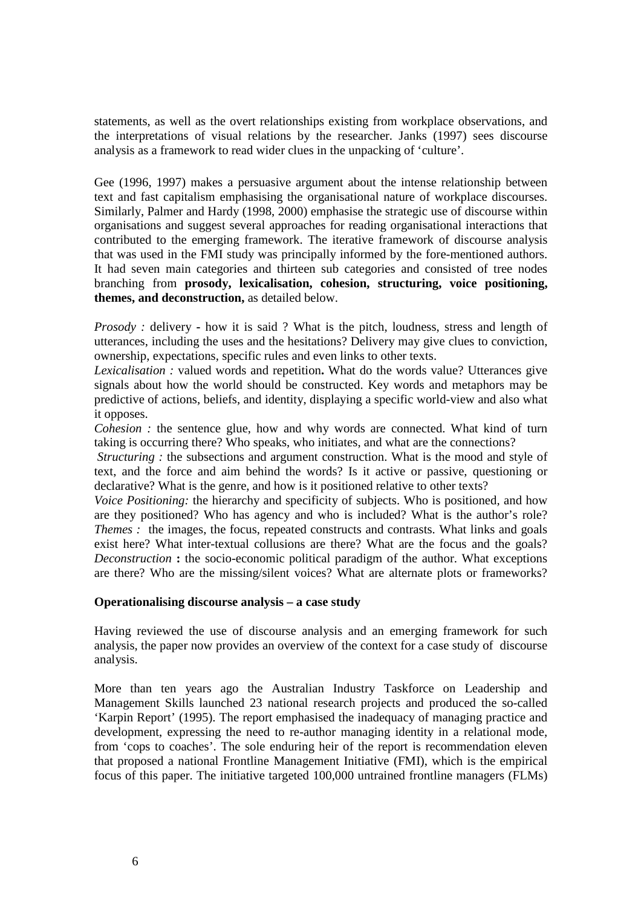statements, as well as the overt relationships existing from workplace observations, and the interpretations of visual relations by the researcher. Janks (1997) sees discourse analysis as a framework to read wider clues in the unpacking of 'culture'.

Gee (1996, 1997) makes a persuasive argument about the intense relationship between text and fast capitalism emphasising the organisational nature of workplace discourses. Similarly, Palmer and Hardy (1998, 2000) emphasise the strategic use of discourse within organisations and suggest several approaches for reading organisational interactions that contributed to the emerging framework. The iterative framework of discourse analysis that was used in the FMI study was principally informed by the fore-mentioned authors. It had seven main categories and thirteen sub categories and consisted of tree nodes branching from **prosody, lexicalisation, cohesion, structuring, voice positioning, themes, and deconstruction,** as detailed below.

*Prosody :* delivery **-** how it is said ? What is the pitch, loudness, stress and length of utterances, including the uses and the hesitations? Delivery may give clues to conviction, ownership, expectations, specific rules and even links to other texts.

*Lexicalisation :* valued words and repetition**.** What do the words value? Utterances give signals about how the world should be constructed. Key words and metaphors may be predictive of actions, beliefs, and identity, displaying a specific world-view and also what it opposes.

*Cohesion :* the sentence glue, how and why words are connected. What kind of turn taking is occurring there? Who speaks, who initiates, and what are the connections?

*Structuring*: the subsections and argument construction. What is the mood and style of text, and the force and aim behind the words? Is it active or passive, questioning or declarative? What is the genre, and how is it positioned relative to other texts?

*Voice Positioning:* the hierarchy and specificity of subjects. Who is positioned*,* and how are they positioned? Who has agency and who is included? What is the author's role? *Themes :* the images, the focus, repeated constructs and contrasts. What links and goals exist here? What inter-textual collusions are there? What are the focus and the goals? *Deconstruction* **:** the socio-economic political paradigm of the author. What exceptions are there? Who are the missing/silent voices? What are alternate plots or frameworks?

### **Operationalising discourse analysis – a case study**

Having reviewed the use of discourse analysis and an emerging framework for such analysis, the paper now provides an overview of the context for a case study of discourse analysis.

More than ten years ago the Australian Industry Taskforce on Leadership and Management Skills launched 23 national research projects and produced the so-called 'Karpin Report' (1995). The report emphasised the inadequacy of managing practice and development, expressing the need to re-author managing identity in a relational mode, from 'cops to coaches'. The sole enduring heir of the report is recommendation eleven that proposed a national Frontline Management Initiative (FMI), which is the empirical focus of this paper. The initiative targeted 100,000 untrained frontline managers (FLMs)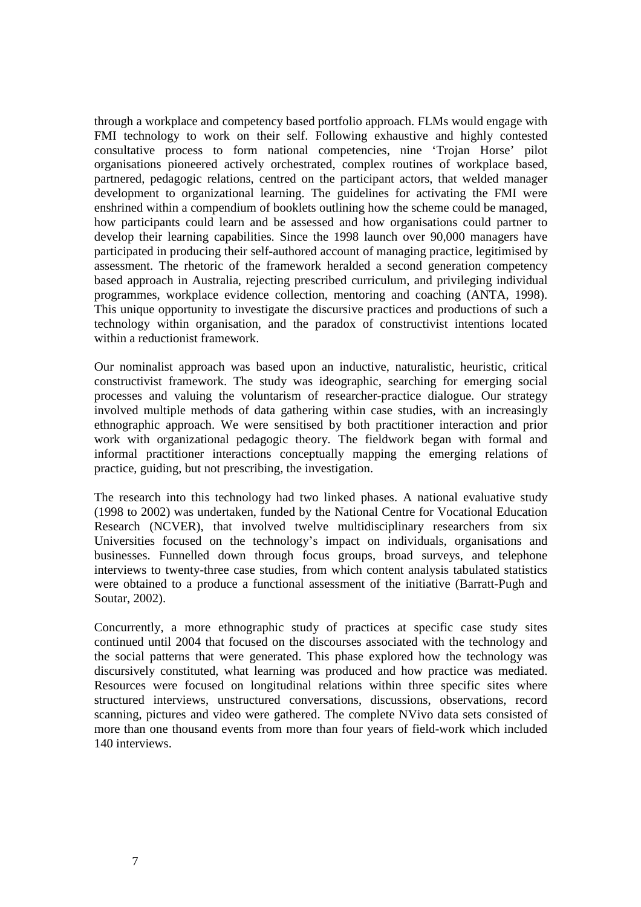through a workplace and competency based portfolio approach. FLMs would engage with FMI technology to work on their self. Following exhaustive and highly contested consultative process to form national competencies, nine 'Trojan Horse' pilot organisations pioneered actively orchestrated, complex routines of workplace based, partnered, pedagogic relations, centred on the participant actors, that welded manager development to organizational learning. The guidelines for activating the FMI were enshrined within a compendium of booklets outlining how the scheme could be managed, how participants could learn and be assessed and how organisations could partner to develop their learning capabilities. Since the 1998 launch over 90,000 managers have participated in producing their self-authored account of managing practice, legitimised by assessment. The rhetoric of the framework heralded a second generation competency based approach in Australia, rejecting prescribed curriculum, and privileging individual programmes, workplace evidence collection, mentoring and coaching (ANTA, 1998). This unique opportunity to investigate the discursive practices and productions of such a technology within organisation, and the paradox of constructivist intentions located within a reductionist framework.

Our nominalist approach was based upon an inductive, naturalistic, heuristic, critical constructivist framework. The study was ideographic, searching for emerging social processes and valuing the voluntarism of researcher-practice dialogue. Our strategy involved multiple methods of data gathering within case studies, with an increasingly ethnographic approach. We were sensitised by both practitioner interaction and prior work with organizational pedagogic theory. The fieldwork began with formal and informal practitioner interactions conceptually mapping the emerging relations of practice, guiding, but not prescribing, the investigation.

The research into this technology had two linked phases. A national evaluative study (1998 to 2002) was undertaken, funded by the National Centre for Vocational Education Research (NCVER), that involved twelve multidisciplinary researchers from six Universities focused on the technology's impact on individuals, organisations and businesses. Funnelled down through focus groups, broad surveys, and telephone interviews to twenty-three case studies, from which content analysis tabulated statistics were obtained to a produce a functional assessment of the initiative (Barratt-Pugh and Soutar, 2002).

Concurrently, a more ethnographic study of practices at specific case study sites continued until 2004 that focused on the discourses associated with the technology and the social patterns that were generated. This phase explored how the technology was discursively constituted, what learning was produced and how practice was mediated. Resources were focused on longitudinal relations within three specific sites where structured interviews, unstructured conversations, discussions, observations, record scanning, pictures and video were gathered. The complete NVivo data sets consisted of more than one thousand events from more than four years of field-work which included 140 interviews.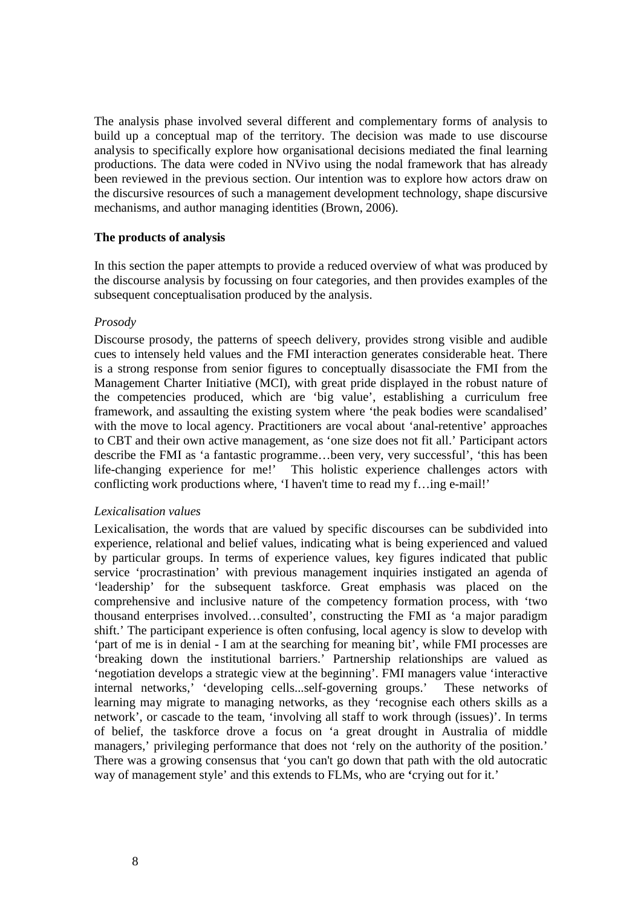The analysis phase involved several different and complementary forms of analysis to build up a conceptual map of the territory. The decision was made to use discourse analysis to specifically explore how organisational decisions mediated the final learning productions. The data were coded in NVivo using the nodal framework that has already been reviewed in the previous section. Our intention was to explore how actors draw on the discursive resources of such a management development technology, shape discursive mechanisms, and author managing identities (Brown, 2006).

#### **The products of analysis**

In this section the paper attempts to provide a reduced overview of what was produced by the discourse analysis by focussing on four categories, and then provides examples of the subsequent conceptualisation produced by the analysis.

#### *Prosody*

Discourse prosody, the patterns of speech delivery, provides strong visible and audible cues to intensely held values and the FMI interaction generates considerable heat. There is a strong response from senior figures to conceptually disassociate the FMI from the Management Charter Initiative (MCI), with great pride displayed in the robust nature of the competencies produced, which are 'big value', establishing a curriculum free framework, and assaulting the existing system where 'the peak bodies were scandalised' with the move to local agency. Practitioners are vocal about 'anal-retentive' approaches to CBT and their own active management, as 'one size does not fit all.' Participant actors describe the FMI as 'a fantastic programme…been very, very successful', 'this has been life-changing experience for me!' This holistic experience challenges actors with conflicting work productions where, 'I haven't time to read my f…ing e-mail!'

### *Lexicalisation values*

Lexicalisation, the words that are valued by specific discourses can be subdivided into experience, relational and belief values, indicating what is being experienced and valued by particular groups. In terms of experience values, key figures indicated that public service 'procrastination' with previous management inquiries instigated an agenda of 'leadership' for the subsequent taskforce. Great emphasis was placed on the comprehensive and inclusive nature of the competency formation process, with 'two thousand enterprises involved…consulted', constructing the FMI as 'a major paradigm shift.' The participant experience is often confusing, local agency is slow to develop with 'part of me is in denial - I am at the searching for meaning bit', while FMI processes are 'breaking down the institutional barriers.' Partnership relationships are valued as 'negotiation develops a strategic view at the beginning'. FMI managers value 'interactive internal networks,' 'developing cells...self-governing groups.' These networks of learning may migrate to managing networks, as they 'recognise each others skills as a network', or cascade to the team, 'involving all staff to work through (issues)'. In terms of belief, the taskforce drove a focus on 'a great drought in Australia of middle managers,' privileging performance that does not 'rely on the authority of the position.' There was a growing consensus that 'you can't go down that path with the old autocratic way of management style' and this extends to FLMs, who are **'**crying out for it.'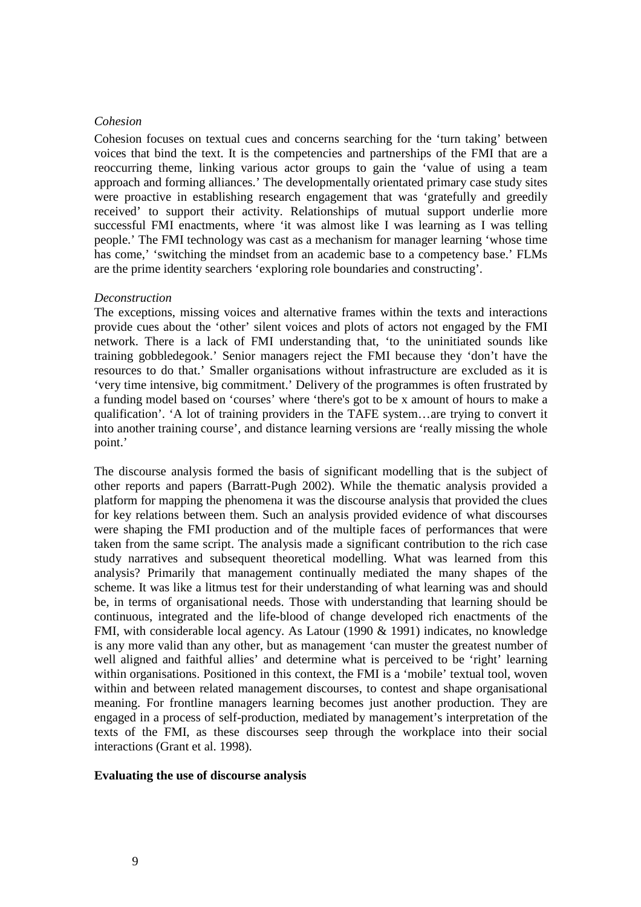#### *Cohesion*

Cohesion focuses on textual cues and concerns searching for the 'turn taking' between voices that bind the text. It is the competencies and partnerships of the FMI that are a reoccurring theme, linking various actor groups to gain the 'value of using a team approach and forming alliances.' The developmentally orientated primary case study sites were proactive in establishing research engagement that was 'gratefully and greedily received' to support their activity. Relationships of mutual support underlie more successful FMI enactments, where 'it was almost like I was learning as I was telling people.' The FMI technology was cast as a mechanism for manager learning 'whose time has come,' 'switching the mindset from an academic base to a competency base.' FLMs are the prime identity searchers 'exploring role boundaries and constructing'.

#### *Deconstruction*

The exceptions, missing voices and alternative frames within the texts and interactions provide cues about the 'other' silent voices and plots of actors not engaged by the FMI network. There is a lack of FMI understanding that, 'to the uninitiated sounds like training gobbledegook.' Senior managers reject the FMI because they 'don't have the resources to do that.' Smaller organisations without infrastructure are excluded as it is 'very time intensive, big commitment.' Delivery of the programmes is often frustrated by a funding model based on 'courses' where 'there's got to be x amount of hours to make a qualification'. 'A lot of training providers in the TAFE system…are trying to convert it into another training course', and distance learning versions are 'really missing the whole point.'

The discourse analysis formed the basis of significant modelling that is the subject of other reports and papers (Barratt-Pugh 2002). While the thematic analysis provided a platform for mapping the phenomena it was the discourse analysis that provided the clues for key relations between them. Such an analysis provided evidence of what discourses were shaping the FMI production and of the multiple faces of performances that were taken from the same script. The analysis made a significant contribution to the rich case study narratives and subsequent theoretical modelling. What was learned from this analysis? Primarily that management continually mediated the many shapes of the scheme. It was like a litmus test for their understanding of what learning was and should be, in terms of organisational needs. Those with understanding that learning should be continuous, integrated and the life-blood of change developed rich enactments of the FMI, with considerable local agency. As Latour (1990 & 1991) indicates, no knowledge is any more valid than any other, but as management 'can muster the greatest number of well aligned and faithful allies' and determine what is perceived to be 'right' learning within organisations. Positioned in this context, the FMI is a 'mobile' textual tool, woven within and between related management discourses, to contest and shape organisational meaning. For frontline managers learning becomes just another production. They are engaged in a process of self-production, mediated by management's interpretation of the texts of the FMI, as these discourses seep through the workplace into their social interactions (Grant et al. 1998).

#### **Evaluating the use of discourse analysis**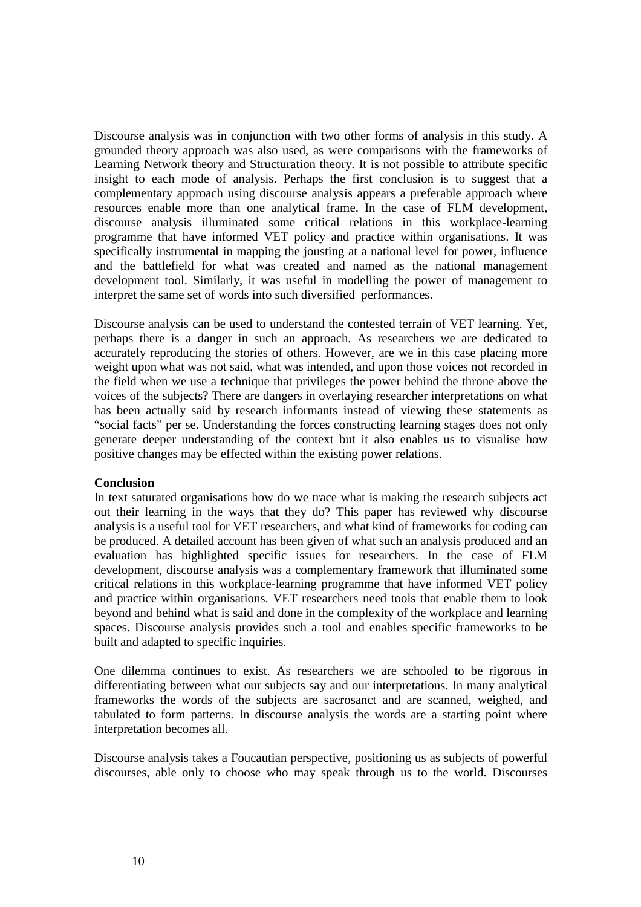Discourse analysis was in conjunction with two other forms of analysis in this study. A grounded theory approach was also used, as were comparisons with the frameworks of Learning Network theory and Structuration theory. It is not possible to attribute specific insight to each mode of analysis. Perhaps the first conclusion is to suggest that a complementary approach using discourse analysis appears a preferable approach where resources enable more than one analytical frame. In the case of FLM development, discourse analysis illuminated some critical relations in this workplace-learning programme that have informed VET policy and practice within organisations. It was specifically instrumental in mapping the jousting at a national level for power, influence and the battlefield for what was created and named as the national management development tool. Similarly, it was useful in modelling the power of management to interpret the same set of words into such diversified performances.

Discourse analysis can be used to understand the contested terrain of VET learning. Yet, perhaps there is a danger in such an approach. As researchers we are dedicated to accurately reproducing the stories of others. However, are we in this case placing more weight upon what was not said, what was intended, and upon those voices not recorded in the field when we use a technique that privileges the power behind the throne above the voices of the subjects? There are dangers in overlaying researcher interpretations on what has been actually said by research informants instead of viewing these statements as "social facts" per se. Understanding the forces constructing learning stages does not only generate deeper understanding of the context but it also enables us to visualise how positive changes may be effected within the existing power relations.

### **Conclusion**

In text saturated organisations how do we trace what is making the research subjects act out their learning in the ways that they do? This paper has reviewed why discourse analysis is a useful tool for VET researchers, and what kind of frameworks for coding can be produced. A detailed account has been given of what such an analysis produced and an evaluation has highlighted specific issues for researchers. In the case of FLM development, discourse analysis was a complementary framework that illuminated some critical relations in this workplace-learning programme that have informed VET policy and practice within organisations. VET researchers need tools that enable them to look beyond and behind what is said and done in the complexity of the workplace and learning spaces. Discourse analysis provides such a tool and enables specific frameworks to be built and adapted to specific inquiries.

One dilemma continues to exist. As researchers we are schooled to be rigorous in differentiating between what our subjects say and our interpretations. In many analytical frameworks the words of the subjects are sacrosanct and are scanned, weighed, and tabulated to form patterns. In discourse analysis the words are a starting point where interpretation becomes all.

Discourse analysis takes a Foucautian perspective, positioning us as subjects of powerful discourses, able only to choose who may speak through us to the world. Discourses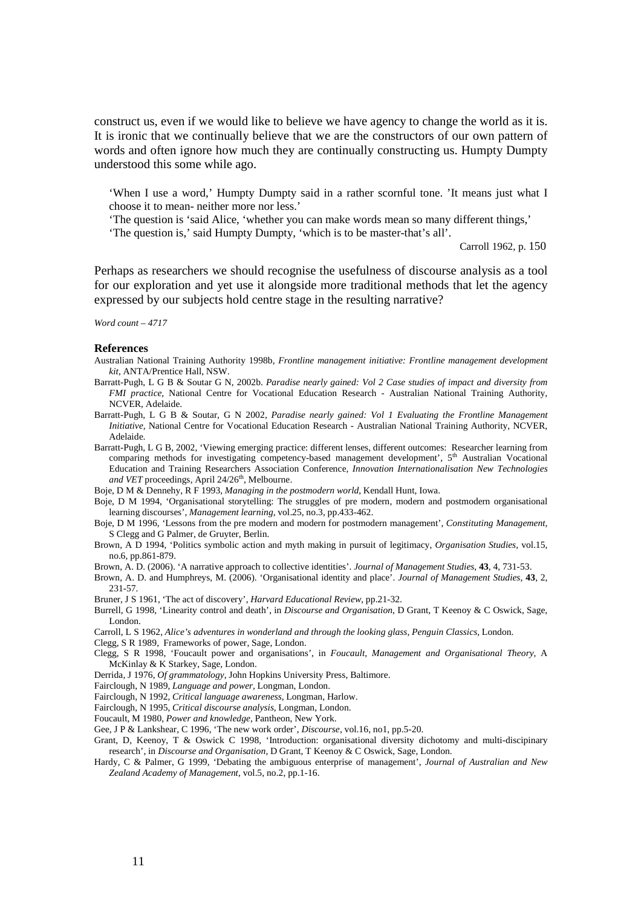construct us, even if we would like to believe we have agency to change the world as it is. It is ironic that we continually believe that we are the constructors of our own pattern of words and often ignore how much they are continually constructing us. Humpty Dumpty understood this some while ago.

'When I use a word,' Humpty Dumpty said in a rather scornful tone. 'It means just what I choose it to mean- neither more nor less.'

'The question is 'said Alice, 'whether you can make words mean so many different things,'

'The question is,' said Humpty Dumpty, 'which is to be master-that's all'.

Carroll 1962, p. 150

Perhaps as researchers we should recognise the usefulness of discourse analysis as a tool for our exploration and yet use it alongside more traditional methods that let the agency expressed by our subjects hold centre stage in the resulting narrative?

*Word count – 4717*

#### **References**

- Australian National Training Authority 1998b, *Frontline management initiative: Frontline management development kit*, ANTA/Prentice Hall, NSW.
- Barratt-Pugh, L G B & Soutar G N, 2002b. *Paradise nearly gained: Vol 2 Case studies of impact and diversity from FMI practice,* National Centre for Vocational Education Research - Australian National Training Authority, NCVER, Adelaide.
- Barratt-Pugh, L G B & Soutar, G N 2002, *Paradise nearly gained: Vol 1 Evaluating the Frontline Management Initiative,* National Centre for Vocational Education Research - Australian National Training Authority, NCVER, Adelaide.
- Barratt-Pugh, L G B, 2002, 'Viewing emerging practice: different lenses, different outcomes: Researcher learning from comparing methods for investigating competency-based management development', 5th Australian Vocational Education and Training Researchers Association Conference*, Innovation Internationalisation New Technologies*  and VET proceedings, April 24/26<sup>th</sup>, Melbourne.

Boje, D M & Dennehy, R F 1993, *Managing in the postmodern world*, Kendall Hunt, Iowa.

- Boje, D M 1994, 'Organisational storytelling: The struggles of pre modern, modern and postmodern organisational learning discourses', *Management learning,* vol.25, no.3, pp.433-462.
- Boje, D M 1996, 'Lessons from the pre modern and modern for postmodern management', *Constituting Management,*  S Clegg and G Palmer, de Gruyter, Berlin.
- Brown, A D 1994, 'Politics symbolic action and myth making in pursuit of legitimacy, *Organisation Studies,* vol.15, no.6, pp.861-879.

Brown, A. D. (2006). 'A narrative approach to collective identities'. *Journal of Management Studies*, **43**, 4, 731-53.

Brown, A. D. and Humphreys, M. (2006). 'Organisational identity and place'. *Journal of Management Studies*, **43**, 2, 231-57.

Bruner, J S 1961, 'The act of discovery', *Harvard Educational Review*, pp.21-32.

Burrell, G 1998, 'Linearity control and death', in *Discourse and Organisation*, D Grant, T Keenoy & C Oswick, Sage, London.

Carroll, L S 1962, *Alice's adventures in wonderland and through the looking glass, Penguin Classics,* London.

Clegg, S R 1989, Frameworks of power, Sage, London.

- Clegg, S R 1998, 'Foucault power and organisations', in *Foucault, Management and Organisational Theory*, A McKinlay & K Starkey, Sage, London.
- Derrida, J 1976, *Of grammatology*, John Hopkins University Press, Baltimore.
- Fairclough, N 1989, *Language and power,* Longman, London.

Fairclough, N 1992, *Critical language awareness*, Longman, Harlow.

Fairclough, N 1995, *Critical discourse analysis,* Longman, London.

Foucault, M 1980, *Power and knowledge,* Pantheon, New York.

Gee, J P & Lankshear, C 1996, 'The new work order', *Discourse*, vol.16, no1, pp.5-20.

- Grant, D, Keenoy, T & Oswick C 1998, 'Introduction: organisational diversity dichotomy and multi-discipinary research', in *Discourse and Organisation*, D Grant, T Keenoy & C Oswick, Sage, London.
- Hardy, C & Palmer, G 1999, 'Debating the ambiguous enterprise of management', *Journal of Australian and New Zealand Academy of Management,* vol.5, no.2, pp.1-16.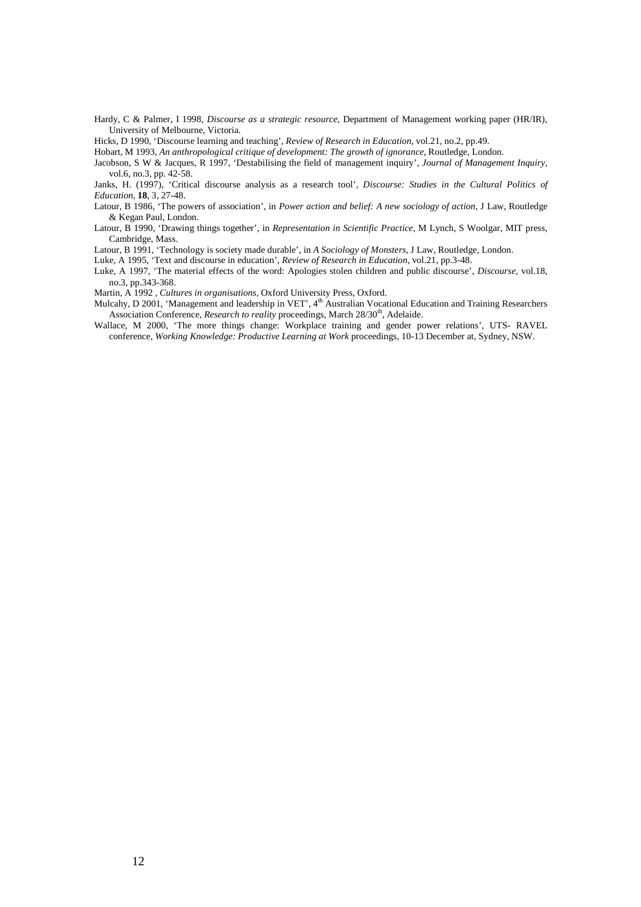- Hardy, C & Palmer, I 1998, *Discourse as a strategic resource*, Department of Management working paper (HR/IR), University of Melbourne, Victoria.
- Hicks, D 1990, 'Discourse learning and teaching', *Review of Research in Education*, vol.21, no.2, pp.49.

Hobart, M 1993, *An anthropological critique of development: The growth of ignorance*, Routledge, London.

- Jacobson, S W & Jacques, R 1997, 'Destabilising the field of management inquiry', *Journal of Management Inquiry,*  vol.6, no.3, pp. 42-58.
- Janks, H. (1997), 'Critical discourse analysis as a research tool', *Discourse: Studies in the Cultural Politics of Education,* **18**, 3, 27-48.
- Latour, B 1986, 'The powers of association', in *Power action and belief: A new sociology of action,* J Law, Routledge & Kegan Paul, London.
- Latour, B 1990, 'Drawing things together', in *Representation in Scientific Practice,* M Lynch, S Woolgar, MIT press, Cambridge, Mass.
- Latour, B 1991, 'Technology is society made durable', in *A Sociology of Monsters,* J Law, Routledge, London.
- Luke, A 1995, 'Text and discourse in education', *Review of Research in Education,* vol.21, pp.3-48.
- Luke, A 1997, 'The material effects of the word: Apologies stolen children and public discourse', *Discourse,* vol.18, no.3, pp.343-368.
- Martin, A 1992 , *Cultures in organisations,* Oxford University Press, Oxford.
- Mulcahy, D 2001, 'Management and leadership in VET', 4<sup>th</sup> Australian Vocational Education and Training Researchers Association Conference, *Research to reality* proceedings, March 28/30<sup>th</sup>, Adelaide.
- Wallace, M 2000, 'The more things change: Workplace training and gender power relations', UTS- RAVEL conference*, Working Knowledge: Productive Learning at Work* proceedings, 10-13 December at*,* Sydney, NSW.